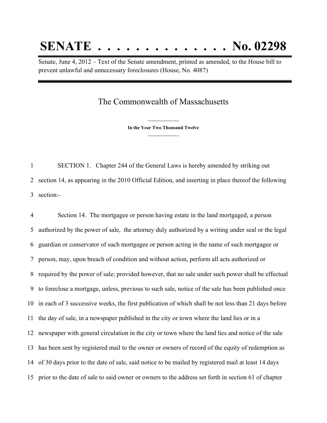## **SENATE . . . . . . . . . . . . . . No. 02298**

Senate, June 4, 2012 – Text of the Senate amendment, printed as amended, to the House bill to prevent unlawful and unnecessary foreclosures (House, No. 4087)

## The Commonwealth of Massachusetts

**\_\_\_\_\_\_\_\_\_\_\_\_\_\_\_ In the Year Two Thousand Twelve \_\_\_\_\_\_\_\_\_\_\_\_\_\_\_**

 SECTION 1. Chapter 244 of the General Laws is hereby amended by striking out section 14, as appearing in the 2010 Official Edition, and inserting in place thereof the following section:-

 Section 14. The mortgagee or person having estate in the land mortgaged, a person authorized by the power of sale, the attorney duly authorized by a writing under seal or the legal guardian or conservator of such mortgagee or person acting in the name of such mortgagee or person, may, upon breach of condition and without action, perform all acts authorized or required by the power of sale; provided however, that no sale under such power shall be effectual to foreclose a mortgage, unless, previous to such sale, notice of the sale has been published once in each of 3 successive weeks, the first publication of which shall be not less than 21 days before the day of sale, in a newspaper published in the city or town where the land lies or in a newspaper with general circulation in the city or town where the land lies and notice of the sale has been sent by registered mail to the owner or owners of record of the equity of redemption as of 30 days prior to the date of sale, said notice to be mailed by registered mail at least 14 days prior to the date of sale to said owner or owners to the address set forth in section 61 of chapter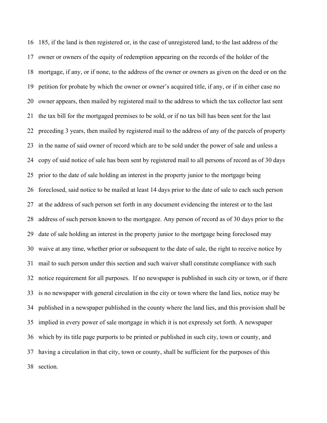185, if the land is then registered or, in the case of unregistered land, to the last address of the owner or owners of the equity of redemption appearing on the records of the holder of the mortgage, if any, or if none, to the address of the owner or owners as given on the deed or on the petition for probate by which the owner or owner's acquired title, if any, or if in either case no owner appears, then mailed by registered mail to the address to which the tax collector last sent the tax bill for the mortgaged premises to be sold, or if no tax bill has been sent for the last preceding 3 years, then mailed by registered mail to the address of any of the parcels of property in the name of said owner of record which are to be sold under the power of sale and unless a copy of said notice of sale has been sent by registered mail to all persons of record as of 30 days prior to the date of sale holding an interest in the property junior to the mortgage being foreclosed, said notice to be mailed at least 14 days prior to the date of sale to each such person at the address of such person set forth in any document evidencing the interest or to the last address of such person known to the mortgagee. Any person of record as of 30 days prior to the date of sale holding an interest in the property junior to the mortgage being foreclosed may waive at any time, whether prior or subsequent to the date of sale, the right to receive notice by mail to such person under this section and such waiver shall constitute compliance with such notice requirement for all purposes. If no newspaper is published in such city or town, or if there is no newspaper with general circulation in the city or town where the land lies, notice may be published in a newspaper published in the county where the land lies, and this provision shall be implied in every power of sale mortgage in which it is not expressly set forth. A newspaper which by its title page purports to be printed or published in such city, town or county, and having a circulation in that city, town or county, shall be sufficient for the purposes of this section.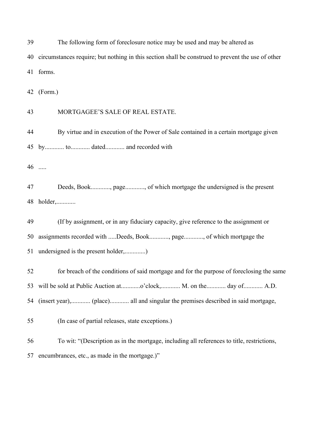| 39 | The following form of foreclosure notice may be used and may be altered as                        |
|----|---------------------------------------------------------------------------------------------------|
| 40 | circumstances require; but nothing in this section shall be construed to prevent the use of other |
|    | 41 forms.                                                                                         |
| 42 | (Form.)                                                                                           |
| 43 | MORTGAGEE'S SALE OF REAL ESTATE.                                                                  |
| 44 | By virtue and in execution of the Power of Sale contained in a certain mortgage given             |
|    | 45 by to dated and recorded with                                                                  |
|    | 46                                                                                                |
| 47 | Deeds, Book, page, of which mortgage the undersigned is the present                               |
|    | 48 holder,                                                                                        |
| 49 | (If by assignment, or in any fiduciary capacity, give reference to the assignment or              |
| 50 | assignments recorded with Deeds, Book, page, of which mortgage the                                |
| 51 | undersigned is the present holder,)                                                               |
| 52 | for breach of the conditions of said mortgage and for the purpose of foreclosing the same         |
| 53 | will be sold at Public Auction ato'clock, M. on the day of A.D.                                   |
| 54 |                                                                                                   |
| 55 | (In case of partial releases, state exceptions.)                                                  |
| 56 | To wit: "(Description as in the mortgage, including all references to title, restrictions,        |
| 57 | encumbrances, etc., as made in the mortgage.)"                                                    |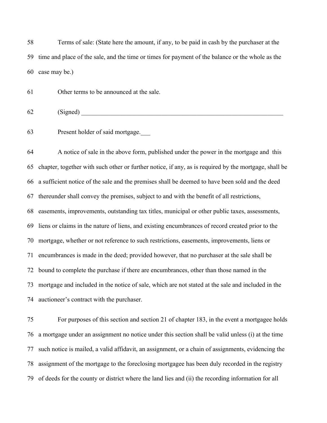Terms of sale: (State here the amount, if any, to be paid in cash by the purchaser at the time and place of the sale, and the time or times for payment of the balance or the whole as the case may be.)

Other terms to be announced at the sale.

(Signed)

Present holder of said mortgage.\_\_\_

 A notice of sale in the above form, published under the power in the mortgage and this chapter, together with such other or further notice, if any, as is required by the mortgage, shall be a sufficient notice of the sale and the premises shall be deemed to have been sold and the deed thereunder shall convey the premises, subject to and with the benefit of all restrictions, easements, improvements, outstanding tax titles, municipal or other public taxes, assessments, liens or claims in the nature of liens, and existing encumbrances of record created prior to the mortgage, whether or not reference to such restrictions, easements, improvements, liens or encumbrances is made in the deed; provided however, that no purchaser at the sale shall be bound to complete the purchase if there are encumbrances, other than those named in the mortgage and included in the notice of sale, which are not stated at the sale and included in the auctioneer's contract with the purchaser.

 For purposes of this section and section 21 of chapter 183, in the event a mortgagee holds a mortgage under an assignment no notice under this section shall be valid unless (i) at the time such notice is mailed, a valid affidavit, an assignment, or a chain of assignments, evidencing the assignment of the mortgage to the foreclosing mortgagee has been duly recorded in the registry of deeds for the county or district where the land lies and (ii) the recording information for all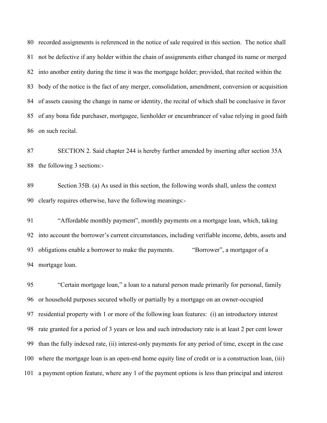recorded assignments is referenced in the notice of sale required in this section. The notice shall not be defective if any holder within the chain of assignments either changed its name or merged into another entity during the time it was the mortgage holder; provided, that recited within the body of the notice is the fact of any merger, consolidation, amendment, conversion or acquisition of assets causing the change in name or identity, the recital of which shall be conclusive in favor of any bona fide purchaser, mortgagee, lienholder or encumbrancer of value relying in good faith on such recital.

 SECTION 2. Said chapter 244 is hereby further amended by inserting after section 35A the following 3 sections:-

 Section 35B. (a) As used in this section, the following words shall, unless the context clearly requires otherwise, have the following meanings:-

 "Affordable monthly payment", monthly payments on a mortgage loan, which, taking into account the borrower's current circumstances, including verifiable income, debts, assets and obligations enable a borrower to make the payments. "Borrower", a mortgagor of a mortgage loan.

 "Certain mortgage loan," a loan to a natural person made primarily for personal, family or household purposes secured wholly or partially by a mortgage on an owner-occupied residential property with 1 or more of the following loan features: (i) an introductory interest rate granted for a period of 3 years or less and such introductory rate is at least 2 per cent lower than the fully indexed rate, (ii) interest-only payments for any period of time, except in the case where the mortgage loan is an open-end home equity line of credit or is a construction loan, (iii) a payment option feature, where any 1 of the payment options is less than principal and interest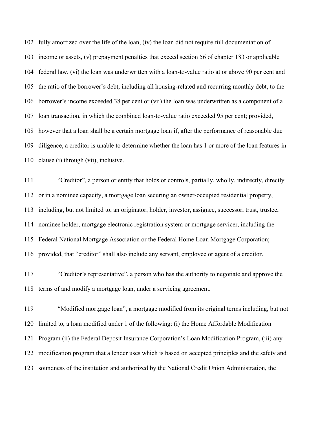fully amortized over the life of the loan, (iv) the loan did not require full documentation of income or assets, (v) prepayment penalties that exceed section 56 of chapter 183 or applicable federal law, (vi) the loan was underwritten with a loan-to-value ratio at or above 90 per cent and the ratio of the borrower's debt, including all housing-related and recurring monthly debt, to the borrower's income exceeded 38 per cent or (vii) the loan was underwritten as a component of a loan transaction, in which the combined loan-to-value ratio exceeded 95 per cent; provided, however that a loan shall be a certain mortgage loan if, after the performance of reasonable due diligence, a creditor is unable to determine whether the loan has 1 or more of the loan features in clause (i) through (vii), inclusive.

 "Creditor", a person or entity that holds or controls, partially, wholly, indirectly, directly or in a nominee capacity, a mortgage loan securing an owner-occupied residential property, including, but not limited to, an originator, holder, investor, assignee, successor, trust, trustee, nominee holder, mortgage electronic registration system or mortgage servicer, including the Federal National Mortgage Association or the Federal Home Loan Mortgage Corporation; provided, that "creditor" shall also include any servant, employee or agent of a creditor.

 "Creditor's representative", a person who has the authority to negotiate and approve the terms of and modify a mortgage loan, under a servicing agreement.

 "Modified mortgage loan", a mortgage modified from its original terms including, but not limited to, a loan modified under 1 of the following: (i) the Home Affordable Modification Program (ii) the Federal Deposit Insurance Corporation's Loan Modification Program, (iii) any modification program that a lender uses which is based on accepted principles and the safety and soundness of the institution and authorized by the National Credit Union Administration, the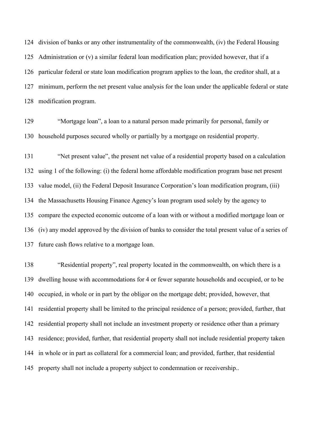division of banks or any other instrumentality of the commonwealth, (iv) the Federal Housing Administration or (v) a similar federal loan modification plan; provided however, that if a particular federal or state loan modification program applies to the loan, the creditor shall, at a minimum, perform the net present value analysis for the loan under the applicable federal or state modification program.

 "Mortgage loan", a loan to a natural person made primarily for personal, family or household purposes secured wholly or partially by a mortgage on residential property.

 "Net present value", the present net value of a residential property based on a calculation using 1 of the following: (i) the federal home affordable modification program base net present value model, (ii) the Federal Deposit Insurance Corporation's loan modification program, (iii) the Massachusetts Housing Finance Agency's loan program used solely by the agency to compare the expected economic outcome of a loan with or without a modified mortgage loan or (iv) any model approved by the division of banks to consider the total present value of a series of future cash flows relative to a mortgage loan.

 "Residential property", real property located in the commonwealth, on which there is a dwelling house with accommodations for 4 or fewer separate households and occupied, or to be occupied, in whole or in part by the obligor on the mortgage debt; provided, however, that residential property shall be limited to the principal residence of a person; provided, further, that residential property shall not include an investment property or residence other than a primary residence; provided, further, that residential property shall not include residential property taken in whole or in part as collateral for a commercial loan; and provided, further, that residential property shall not include a property subject to condemnation or receivership..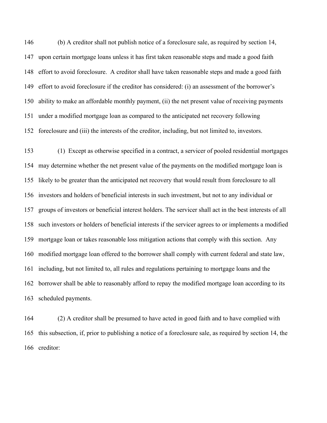(b) A creditor shall not publish notice of a foreclosure sale, as required by section 14, upon certain mortgage loans unless it has first taken reasonable steps and made a good faith effort to avoid foreclosure. A creditor shall have taken reasonable steps and made a good faith effort to avoid foreclosure if the creditor has considered: (i) an assessment of the borrower's ability to make an affordable monthly payment, (ii) the net present value of receiving payments under a modified mortgage loan as compared to the anticipated net recovery following foreclosure and (iii) the interests of the creditor, including, but not limited to, investors.

 (1) Except as otherwise specified in a contract, a servicer of pooled residential mortgages may determine whether the net present value of the payments on the modified mortgage loan is likely to be greater than the anticipated net recovery that would result from foreclosure to all investors and holders of beneficial interests in such investment, but not to any individual or groups of investors or beneficial interest holders. The servicer shall act in the best interests of all such investors or holders of beneficial interests if the servicer agrees to or implements a modified mortgage loan or takes reasonable loss mitigation actions that comply with this section. Any modified mortgage loan offered to the borrower shall comply with current federal and state law, including, but not limited to, all rules and regulations pertaining to mortgage loans and the borrower shall be able to reasonably afford to repay the modified mortgage loan according to its scheduled payments.

 (2) A creditor shall be presumed to have acted in good faith and to have complied with this subsection, if, prior to publishing a notice of a foreclosure sale, as required by section 14, the creditor: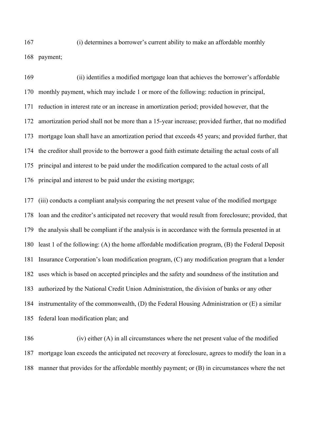(i) determines a borrower's current ability to make an affordable monthly payment;

 (ii) identifies a modified mortgage loan that achieves the borrower's affordable monthly payment, which may include 1 or more of the following: reduction in principal, reduction in interest rate or an increase in amortization period; provided however, that the amortization period shall not be more than a 15-year increase; provided further, that no modified mortgage loan shall have an amortization period that exceeds 45 years; and provided further, that the creditor shall provide to the borrower a good faith estimate detailing the actual costs of all principal and interest to be paid under the modification compared to the actual costs of all principal and interest to be paid under the existing mortgage;

 (iii) conducts a compliant analysis comparing the net present value of the modified mortgage loan and the creditor's anticipated net recovery that would result from foreclosure; provided, that the analysis shall be compliant if the analysis is in accordance with the formula presented in at least 1 of the following: (A) the home affordable modification program, (B) the Federal Deposit Insurance Corporation's loan modification program, (C) any modification program that a lender uses which is based on accepted principles and the safety and soundness of the institution and authorized by the National Credit Union Administration, the division of banks or any other instrumentality of the commonwealth, (D) the Federal Housing Administration or (E) a similar federal loan modification plan; and

 (iv) either (A) in all circumstances where the net present value of the modified mortgage loan exceeds the anticipated net recovery at foreclosure, agrees to modify the loan in a manner that provides for the affordable monthly payment; or (B) in circumstances where the net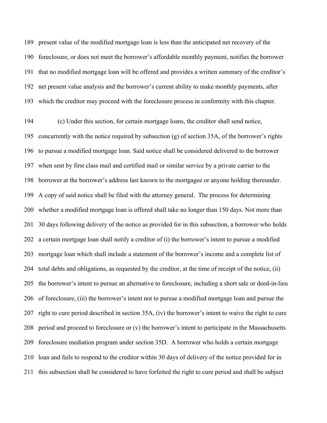present value of the modified mortgage loan is less than the anticipated net recovery of the foreclosure, or does not meet the borrower's affordable monthly payment, notifies the borrower that no modified mortgage loan will be offered and provides a written summary of the creditor's net present value analysis and the borrower's current ability to make monthly payments, after which the creditor may proceed with the foreclosure process in conformity with this chapter.

 (c) Under this section, for certain mortgage loans, the creditor shall send notice, concurrently with the notice required by subsection (g) of section 35A, of the borrower's rights to pursue a modified mortgage loan. Said notice shall be considered delivered to the borrower when sent by first class mail and certified mail or similar service by a private carrier to the borrower at the borrower's address last known to the mortgagee or anyone holding thereunder. A copy of said notice shall be filed with the attorney general. The process for determining whether a modified mortgage loan is offered shall take no longer than 150 days. Not more than 30 days following delivery of the notice as provided for in this subsection, a borrower who holds a certain mortgage loan shall notify a creditor of (i) the borrower's intent to pursue a modified mortgage loan which shall include a statement of the borrower's income and a complete list of total debts and obligations, as requested by the creditor, at the time of receipt of the notice, (ii) the borrower's intent to pursue an alternative to foreclosure, including a short sale or deed-in-lieu of foreclosure, (iii) the borrower's intent not to pursue a modified mortgage loan and pursue the right to cure period described in section 35A, (iv) the borrower's intent to waive the right to cure period and proceed to foreclosure or (v) the borrower's intent to participate in the Massachusetts foreclosure mediation program under section 35D. A borrower who holds a certain mortgage loan and fails to respond to the creditor within 30 days of delivery of the notice provided for in this subsection shall be considered to have forfeited the right to cure period and shall be subject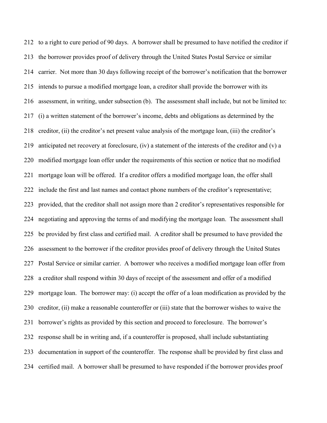to a right to cure period of 90 days. A borrower shall be presumed to have notified the creditor if the borrower provides proof of delivery through the United States Postal Service or similar carrier. Not more than 30 days following receipt of the borrower's notification that the borrower intends to pursue a modified mortgage loan, a creditor shall provide the borrower with its assessment, in writing, under subsection (b). The assessment shall include, but not be limited to: (i) a written statement of the borrower's income, debts and obligations as determined by the creditor, (ii) the creditor's net present value analysis of the mortgage loan, (iii) the creditor's anticipated net recovery at foreclosure, (iv) a statement of the interests of the creditor and (v) a modified mortgage loan offer under the requirements of this section or notice that no modified mortgage loan will be offered. If a creditor offers a modified mortgage loan, the offer shall include the first and last names and contact phone numbers of the creditor's representative; provided, that the creditor shall not assign more than 2 creditor's representatives responsible for negotiating and approving the terms of and modifying the mortgage loan. The assessment shall be provided by first class and certified mail. A creditor shall be presumed to have provided the assessment to the borrower if the creditor provides proof of delivery through the United States Postal Service or similar carrier. A borrower who receives a modified mortgage loan offer from a creditor shall respond within 30 days of receipt of the assessment and offer of a modified mortgage loan. The borrower may: (i) accept the offer of a loan modification as provided by the creditor, (ii) make a reasonable counteroffer or (iii) state that the borrower wishes to waive the borrower's rights as provided by this section and proceed to foreclosure. The borrower's response shall be in writing and, if a counteroffer is proposed, shall include substantiating documentation in support of the counteroffer. The response shall be provided by first class and certified mail. A borrower shall be presumed to have responded if the borrower provides proof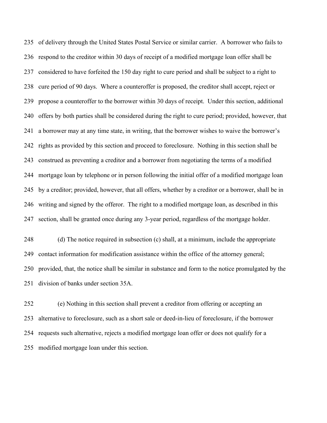of delivery through the United States Postal Service or similar carrier. A borrower who fails to respond to the creditor within 30 days of receipt of a modified mortgage loan offer shall be considered to have forfeited the 150 day right to cure period and shall be subject to a right to cure period of 90 days. Where a counteroffer is proposed, the creditor shall accept, reject or propose a counteroffer to the borrower within 30 days of receipt. Under this section, additional offers by both parties shall be considered during the right to cure period; provided, however, that a borrower may at any time state, in writing, that the borrower wishes to waive the borrower's rights as provided by this section and proceed to foreclosure. Nothing in this section shall be construed as preventing a creditor and a borrower from negotiating the terms of a modified mortgage loan by telephone or in person following the initial offer of a modified mortgage loan by a creditor; provided, however, that all offers, whether by a creditor or a borrower, shall be in writing and signed by the offeror. The right to a modified mortgage loan, as described in this section, shall be granted once during any 3-year period, regardless of the mortgage holder.

 (d) The notice required in subsection (c) shall, at a minimum, include the appropriate contact information for modification assistance within the office of the attorney general; provided, that, the notice shall be similar in substance and form to the notice promulgated by the division of banks under section 35A.

 (e) Nothing in this section shall prevent a creditor from offering or accepting an alternative to foreclosure, such as a short sale or deed-in-lieu of foreclosure, if the borrower requests such alternative, rejects a modified mortgage loan offer or does not qualify for a modified mortgage loan under this section.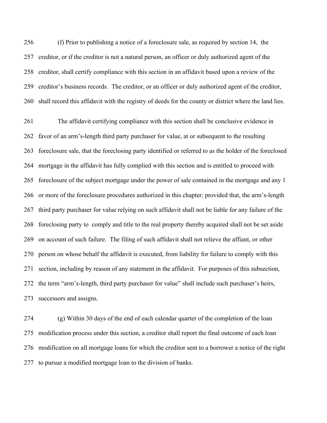(f) Prior to publishing a notice of a foreclosure sale, as required by section 14, the creditor, or if the creditor is not a natural person, an officer or duly authorized agent of the creditor, shall certify compliance with this section in an affidavit based upon a review of the creditor's business records. The creditor, or an officer or duly authorized agent of the creditor, shall record this affidavit with the registry of deeds for the county or district where the land lies.

 The affidavit certifying compliance with this section shall be conclusive evidence in favor of an arm's-length third party purchaser for value, at or subsequent to the resulting foreclosure sale, that the foreclosing party identified or referred to as the holder of the foreclosed mortgage in the affidavit has fully complied with this section and is entitled to proceed with foreclosure of the subject mortgage under the power of sale contained in the mortgage and any 1 or more of the foreclosure procedures authorized in this chapter; provided that, the arm's-length third party purchaser for value relying on such affidavit shall not be liable for any failure of the foreclosing party to comply and title to the real property thereby acquired shall not be set aside on account of such failure. The filing of such affidavit shall not relieve the affiant, or other person on whose behalf the affidavit is executed, from liability for failure to comply with this section, including by reason of any statement in the affidavit. For purposes of this subsection, the term "arm's-length, third party purchaser for value" shall include such purchaser's heirs, successors and assigns.

 (g) Within 30 days of the end of each calendar quarter of the completion of the loan modification process under this section, a creditor shall report the final outcome of each loan modification on all mortgage loans for which the creditor sent to a borrower a notice of the right to pursue a modified mortgage loan to the division of banks.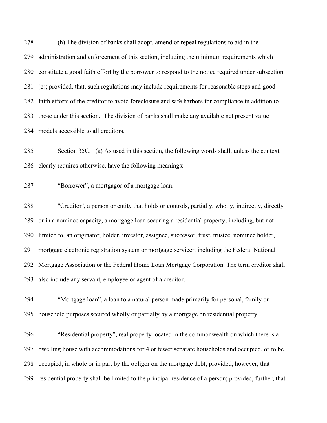(h) The division of banks shall adopt, amend or repeal regulations to aid in the administration and enforcement of this section, including the minimum requirements which constitute a good faith effort by the borrower to respond to the notice required under subsection (c); provided, that, such regulations may include requirements for reasonable steps and good faith efforts of the creditor to avoid foreclosure and safe harbors for compliance in addition to those under this section. The division of banks shall make any available net present value models accessible to all creditors.

 Section 35C. (a) As used in this section, the following words shall, unless the context clearly requires otherwise, have the following meanings:-

"Borrower", a mortgagor of a mortgage loan.

 "Creditor'', a person or entity that holds or controls, partially, wholly, indirectly, directly or in a nominee capacity, a mortgage loan securing a residential property, including, but not limited to, an originator, holder, investor, assignee, successor, trust, trustee, nominee holder, mortgage electronic registration system or mortgage servicer, including the Federal National Mortgage Association or the Federal Home Loan Mortgage Corporation. The term creditor shall also include any servant, employee or agent of a creditor.

 "Mortgage loan", a loan to a natural person made primarily for personal, family or household purposes secured wholly or partially by a mortgage on residential property.

 "Residential property", real property located in the commonwealth on which there is a dwelling house with accommodations for 4 or fewer separate households and occupied, or to be occupied, in whole or in part by the obligor on the mortgage debt; provided, however, that residential property shall be limited to the principal residence of a person; provided, further, that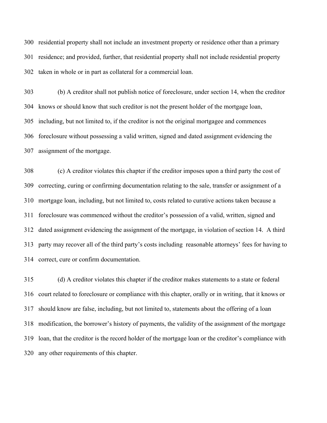residential property shall not include an investment property or residence other than a primary residence; and provided, further, that residential property shall not include residential property taken in whole or in part as collateral for a commercial loan.

 (b) A creditor shall not publish notice of foreclosure, under section 14, when the creditor knows or should know that such creditor is not the present holder of the mortgage loan, including, but not limited to, if the creditor is not the original mortgagee and commences foreclosure without possessing a valid written, signed and dated assignment evidencing the assignment of the mortgage.

 (c) A creditor violates this chapter if the creditor imposes upon a third party the cost of correcting, curing or confirming documentation relating to the sale, transfer or assignment of a mortgage loan, including, but not limited to, costs related to curative actions taken because a foreclosure was commenced without the creditor's possession of a valid, written, signed and dated assignment evidencing the assignment of the mortgage, in violation of section 14. A third party may recover all of the third party's costs including reasonable attorneys' fees for having to correct, cure or confirm documentation.

 (d) A creditor violates this chapter if the creditor makes statements to a state or federal court related to foreclosure or compliance with this chapter, orally or in writing, that it knows or should know are false, including, but not limited to, statements about the offering of a loan modification, the borrower's history of payments, the validity of the assignment of the mortgage loan, that the creditor is the record holder of the mortgage loan or the creditor's compliance with any other requirements of this chapter.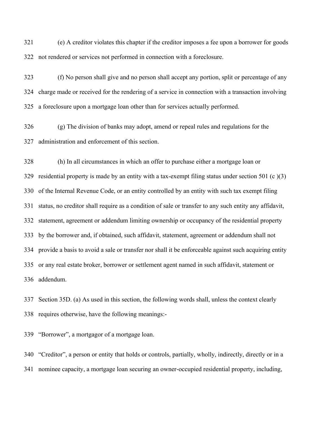(e) A creditor violates this chapter if the creditor imposes a fee upon a borrower for goods not rendered or services not performed in connection with a foreclosure.

 (f) No person shall give and no person shall accept any portion, split or percentage of any charge made or received for the rendering of a service in connection with a transaction involving a foreclosure upon a mortgage loan other than for services actually performed.

 (g) The division of banks may adopt, amend or repeal rules and regulations for the administration and enforcement of this section.

 (h) In all circumstances in which an offer to purchase either a mortgage loan or residential property is made by an entity with a tax-exempt filing status under section 501 (c )(3) of the Internal Revenue Code, or an entity controlled by an entity with such tax exempt filing status, no creditor shall require as a condition of sale or transfer to any such entity any affidavit, statement, agreement or addendum limiting ownership or occupancy of the residential property by the borrower and, if obtained, such affidavit, statement, agreement or addendum shall not provide a basis to avoid a sale or transfer nor shall it be enforceable against such acquiring entity or any real estate broker, borrower or settlement agent named in such affidavit, statement or addendum.

 Section 35D. (a) As used in this section, the following words shall, unless the context clearly requires otherwise, have the following meanings:-

"Borrower", a mortgagor of a mortgage loan.

 "Creditor", a person or entity that holds or controls, partially, wholly, indirectly, directly or in a nominee capacity, a mortgage loan securing an owner-occupied residential property, including,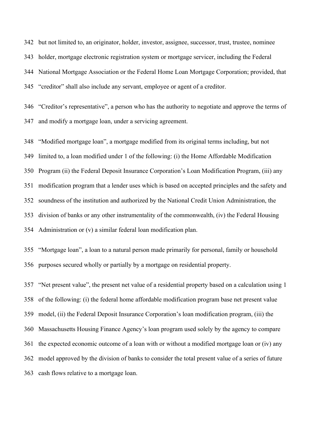but not limited to, an originator, holder, investor, assignee, successor, trust, trustee, nominee holder, mortgage electronic registration system or mortgage servicer, including the Federal National Mortgage Association or the Federal Home Loan Mortgage Corporation; provided, that "creditor" shall also include any servant, employee or agent of a creditor.

 "Creditor's representative", a person who has the authority to negotiate and approve the terms of and modify a mortgage loan, under a servicing agreement.

 "Modified mortgage loan", a mortgage modified from its original terms including, but not limited to, a loan modified under 1 of the following: (i) the Home Affordable Modification Program (ii) the Federal Deposit Insurance Corporation's Loan Modification Program, (iii) any modification program that a lender uses which is based on accepted principles and the safety and soundness of the institution and authorized by the National Credit Union Administration, the division of banks or any other instrumentality of the commonwealth, (iv) the Federal Housing Administration or (v) a similar federal loan modification plan.

 "Mortgage loan", a loan to a natural person made primarily for personal, family or household purposes secured wholly or partially by a mortgage on residential property.

 "Net present value", the present net value of a residential property based on a calculation using 1 of the following: (i) the federal home affordable modification program base net present value model, (ii) the Federal Deposit Insurance Corporation's loan modification program, (iii) the Massachusetts Housing Finance Agency's loan program used solely by the agency to compare the expected economic outcome of a loan with or without a modified mortgage loan or (iv) any model approved by the division of banks to consider the total present value of a series of future cash flows relative to a mortgage loan.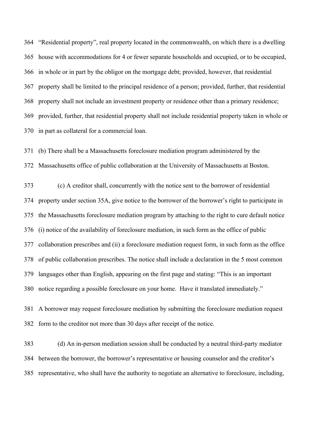"Residential property", real property located in the commonwealth, on which there is a dwelling house with accommodations for 4 or fewer separate households and occupied, or to be occupied, in whole or in part by the obligor on the mortgage debt; provided, however, that residential property shall be limited to the principal residence of a person; provided, further, that residential 368 property shall not include an investment property or residence other than a primary residence; provided, further, that residential property shall not include residential property taken in whole or in part as collateral for a commercial loan.

 (b) There shall be a Massachusetts foreclosure mediation program administered by the Massachusetts office of public collaboration at the University of Massachusetts at Boston.

 (c) A creditor shall, concurrently with the notice sent to the borrower of residential property under section 35A, give notice to the borrower of the borrower's right to participate in the Massachusetts foreclosure mediation program by attaching to the right to cure default notice (i) notice of the availability of foreclosure mediation, in such form as the office of public collaboration prescribes and (ii) a foreclosure mediation request form, in such form as the office of public collaboration prescribes. The notice shall include a declaration in the 5 most common languages other than English, appearing on the first page and stating: "This is an important notice regarding a possible foreclosure on your home. Have it translated immediately."

 A borrower may request foreclosure mediation by submitting the foreclosure mediation request form to the creditor not more than 30 days after receipt of the notice.

 (d) An in-person mediation session shall be conducted by a neutral third-party mediator between the borrower, the borrower's representative or housing counselor and the creditor's representative, who shall have the authority to negotiate an alternative to foreclosure, including,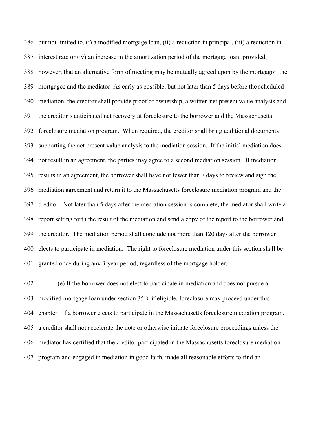but not limited to, (i) a modified mortgage loan, (ii) a reduction in principal, (iii) a reduction in interest rate or (iv) an increase in the amortization period of the mortgage loan; provided, however, that an alternative form of meeting may be mutually agreed upon by the mortgagor, the mortgagee and the mediator. As early as possible, but not later than 5 days before the scheduled mediation, the creditor shall provide proof of ownership, a written net present value analysis and the creditor's anticipated net recovery at foreclosure to the borrower and the Massachusetts foreclosure mediation program. When required, the creditor shall bring additional documents supporting the net present value analysis to the mediation session. If the initial mediation does not result in an agreement, the parties may agree to a second mediation session. If mediation results in an agreement, the borrower shall have not fewer than 7 days to review and sign the mediation agreement and return it to the Massachusetts foreclosure mediation program and the creditor. Not later than 5 days after the mediation session is complete, the mediator shall write a report setting forth the result of the mediation and send a copy of the report to the borrower and the creditor. The mediation period shall conclude not more than 120 days after the borrower elects to participate in mediation. The right to foreclosure mediation under this section shall be granted once during any 3-year period, regardless of the mortgage holder.

 (e) If the borrower does not elect to participate in mediation and does not pursue a modified mortgage loan under section 35B, if eligible, foreclosure may proceed under this chapter. If a borrower elects to participate in the Massachusetts foreclosure mediation program, a creditor shall not accelerate the note or otherwise initiate foreclosure proceedings unless the mediator has certified that the creditor participated in the Massachusetts foreclosure mediation program and engaged in mediation in good faith, made all reasonable efforts to find an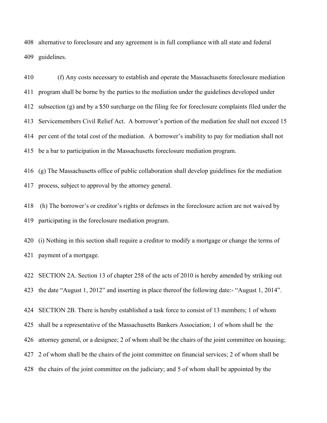alternative to foreclosure and any agreement is in full compliance with all state and federal guidelines.

 (f) Any costs necessary to establish and operate the Massachusetts foreclosure mediation program shall be borne by the parties to the mediation under the guidelines developed under subsection (g) and by a \$50 surcharge on the filing fee for foreclosure complaints filed under the Servicemembers Civil Relief Act. A borrower's portion of the mediation fee shall not exceed 15 per cent of the total cost of the mediation. A borrower's inability to pay for mediation shall not be a bar to participation in the Massachusetts foreclosure mediation program.

 (g) The Massachusetts office of public collaboration shall develop guidelines for the mediation process, subject to approval by the attorney general.

 (h) The borrower's or creditor's rights or defenses in the foreclosure action are not waived by participating in the foreclosure mediation program.

 (i) Nothing in this section shall require a creditor to modify a mortgage or change the terms of payment of a mortgage.

 SECTION 2A. Section 13 of chapter 258 of the acts of 2010 is hereby amended by striking out the date "August 1, 2012" and inserting in place thereof the following date:- "August 1, 2014".

 SECTION 2B. There is hereby established a task force to consist of 13 members; 1 of whom shall be a representative of the Massachusetts Bankers Association; 1 of whom shall be the attorney general, or a designee; 2 of whom shall be the chairs of the joint committee on housing; 2 of whom shall be the chairs of the joint committee on financial services; 2 of whom shall be the chairs of the joint committee on the judiciary; and 5 of whom shall be appointed by the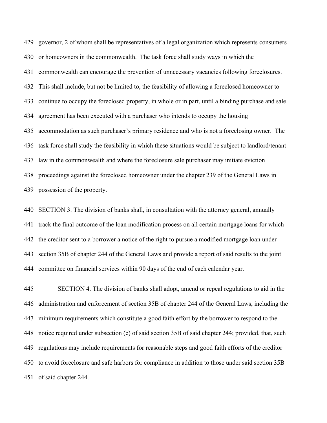governor, 2 of whom shall be representatives of a legal organization which represents consumers or homeowners in the commonwealth. The task force shall study ways in which the commonwealth can encourage the prevention of unnecessary vacancies following foreclosures. This shall include, but not be limited to, the feasibility of allowing a foreclosed homeowner to continue to occupy the foreclosed property, in whole or in part, until a binding purchase and sale agreement has been executed with a purchaser who intends to occupy the housing accommodation as such purchaser's primary residence and who is not a foreclosing owner. The task force shall study the feasibility in which these situations would be subject to landlord/tenant law in the commonwealth and where the foreclosure sale purchaser may initiate eviction proceedings against the foreclosed homeowner under the chapter 239 of the General Laws in possession of the property.

 SECTION 3. The division of banks shall, in consultation with the attorney general, annually track the final outcome of the loan modification process on all certain mortgage loans for which the creditor sent to a borrower a notice of the right to pursue a modified mortgage loan under section 35B of chapter 244 of the General Laws and provide a report of said results to the joint committee on financial services within 90 days of the end of each calendar year.

 SECTION 4. The division of banks shall adopt, amend or repeal regulations to aid in the administration and enforcement of section 35B of chapter 244 of the General Laws, including the minimum requirements which constitute a good faith effort by the borrower to respond to the notice required under subsection (c) of said section 35B of said chapter 244; provided, that, such regulations may include requirements for reasonable steps and good faith efforts of the creditor to avoid foreclosure and safe harbors for compliance in addition to those under said section 35B of said chapter 244.